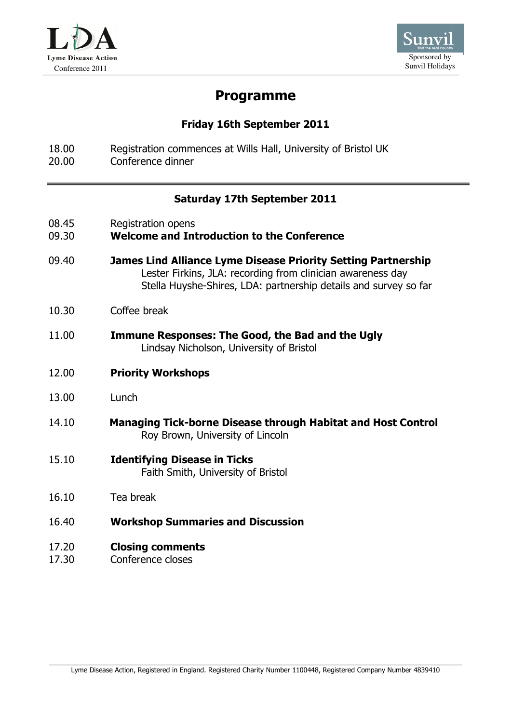



# Programme

## Friday 16th September 2011

18.00 Registration commences at Wills Hall, University of Bristol UK 20.00 Conference dinner

### Saturday 17th September 2011

| 08.45 | Registration opens |
|-------|--------------------|
|-------|--------------------|

### 09.30 Welcome and Introduction to the Conference

- 09.40 James Lind Alliance Lyme Disease Priority Setting Partnership Lester Firkins, JLA: recording from clinician awareness day Stella Huyshe-Shires, LDA: partnership details and survey so far
- 10.30 Coffee break
- 11.00 Immune Responses: The Good, the Bad and the Ugly Lindsay Nicholson, University of Bristol
- 12.00 Priority Workshops
- 13.00 Lunch
- 14.10 Managing Tick-borne Disease through Habitat and Host Control Roy Brown, University of Lincoln
- 15.10 Identifying Disease in Ticks Faith Smith, University of Bristol
- 16.10 Tea break
- 16.40 Workshop Summaries and Discussion
- 17.20 Closing comments
- 17.30 Conference closes